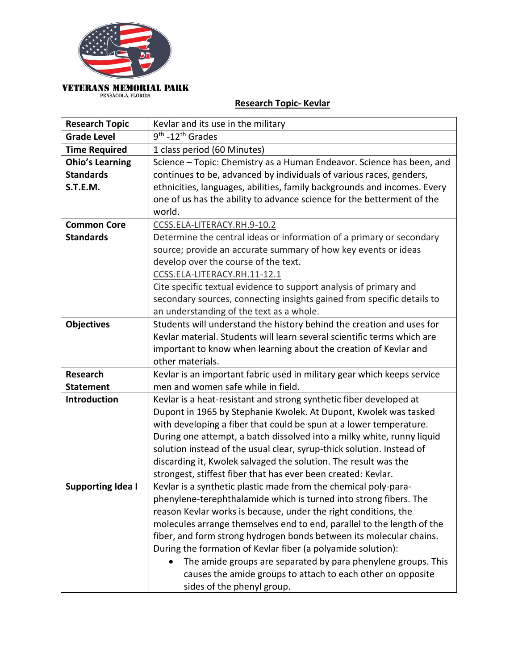

## **Research Topic- Kevlar**

| <b>Research Topic</b>    | Kevlar and its use in the military                                       |
|--------------------------|--------------------------------------------------------------------------|
| <b>Grade Level</b>       | 9 <sup>th</sup> -12 <sup>th</sup> Grades                                 |
| <b>Time Required</b>     | 1 class period (60 Minutes)                                              |
| <b>Ohio's Learning</b>   | Science - Topic: Chemistry as a Human Endeavor. Science has been, and    |
| <b>Standards</b>         | continues to be, advanced by individuals of various races, genders,      |
| S.T.E.M.                 | ethnicities, languages, abilities, family backgrounds and incomes. Every |
|                          | one of us has the ability to advance science for the betterment of the   |
|                          | world.                                                                   |
| <b>Common Core</b>       | CCSS.ELA-LITERACY.RH.9-10.2                                              |
| <b>Standards</b>         | Determine the central ideas or information of a primary or secondary     |
|                          | source; provide an accurate summary of how key events or ideas           |
|                          | develop over the course of the text.                                     |
|                          | CCSS.ELA-LITERACY.RH.11-12.1                                             |
|                          | Cite specific textual evidence to support analysis of primary and        |
|                          | secondary sources, connecting insights gained from specific details to   |
|                          | an understanding of the text as a whole.                                 |
| <b>Objectives</b>        | Students will understand the history behind the creation and uses for    |
|                          | Kevlar material. Students will learn several scientific terms which are  |
|                          | important to know when learning about the creation of Kevlar and         |
|                          | other materials.                                                         |
| <b>Research</b>          | Kevlar is an important fabric used in military gear which keeps service  |
| <b>Statement</b>         | men and women safe while in field.                                       |
| <b>Introduction</b>      | Kevlar is a heat-resistant and strong synthetic fiber developed at       |
|                          | Dupont in 1965 by Stephanie Kwolek. At Dupont, Kwolek was tasked         |
|                          | with developing a fiber that could be spun at a lower temperature.       |
|                          | During one attempt, a batch dissolved into a milky white, runny liquid   |
|                          | solution instead of the usual clear, syrup-thick solution. Instead of    |
|                          | discarding it, Kwolek salvaged the solution. The result was the          |
|                          | strongest, stiffest fiber that has ever been created: Kevlar.            |
| <b>Supporting Idea I</b> | Kevlar is a synthetic plastic made from the chemical poly-para-          |
|                          | phenylene-terephthalamide which is turned into strong fibers. The        |
|                          | reason Kevlar works is because, under the right conditions, the          |
|                          | molecules arrange themselves end to end, parallel to the length of the   |
|                          | fiber, and form strong hydrogen bonds between its molecular chains.      |
|                          | During the formation of Kevlar fiber (a polyamide solution):             |
|                          | The amide groups are separated by para phenylene groups. This            |
|                          | causes the amide groups to attach to each other on opposite              |
|                          | sides of the phenyl group.                                               |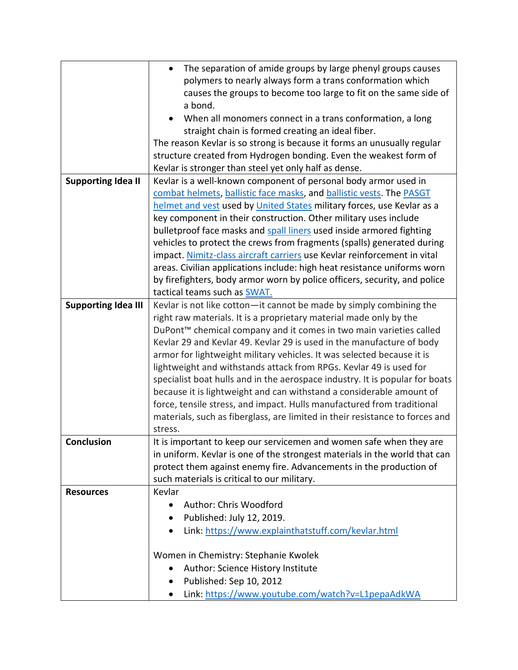|                            | The separation of amide groups by large phenyl groups causes                   |
|----------------------------|--------------------------------------------------------------------------------|
|                            | polymers to nearly always form a trans conformation which                      |
|                            | causes the groups to become too large to fit on the same side of               |
|                            | a bond.                                                                        |
|                            | When all monomers connect in a trans conformation, a long                      |
|                            | straight chain is formed creating an ideal fiber.                              |
|                            | The reason Kevlar is so strong is because it forms an unusually regular        |
|                            | structure created from Hydrogen bonding. Even the weakest form of              |
|                            | Kevlar is stronger than steel yet only half as dense.                          |
| <b>Supporting Idea II</b>  | Kevlar is a well-known component of personal body armor used in                |
|                            | combat helmets, ballistic face masks, and ballistic vests. The PASGT           |
|                            | helmet and vest used by United States military forces, use Kevlar as a         |
|                            | key component in their construction. Other military uses include               |
|                            | bulletproof face masks and spall liners used inside armored fighting           |
|                            | vehicles to protect the crews from fragments (spalls) generated during         |
|                            | impact. Nimitz-class aircraft carriers use Kevlar reinforcement in vital       |
|                            | areas. Civilian applications include: high heat resistance uniforms worn       |
|                            | by firefighters, body armor worn by police officers, security, and police      |
|                            | tactical teams such as SWAT.                                                   |
| <b>Supporting Idea III</b> | Kevlar is not like cotton-it cannot be made by simply combining the            |
|                            | right raw materials. It is a proprietary material made only by the             |
|                            | DuPont <sup>™</sup> chemical company and it comes in two main varieties called |
|                            | Kevlar 29 and Kevlar 49. Kevlar 29 is used in the manufacture of body          |
|                            | armor for lightweight military vehicles. It was selected because it is         |
|                            | lightweight and withstands attack from RPGs. Kevlar 49 is used for             |
|                            | specialist boat hulls and in the aerospace industry. It is popular for boats   |
|                            | because it is lightweight and can withstand a considerable amount of           |
|                            | force, tensile stress, and impact. Hulls manufactured from traditional         |
|                            | materials, such as fiberglass, are limited in their resistance to forces and   |
|                            | stress.                                                                        |
| Conclusion                 | It is important to keep our servicemen and women safe when they are            |
|                            | in uniform. Kevlar is one of the strongest materials in the world that can     |
|                            | protect them against enemy fire. Advancements in the production of             |
|                            | such materials is critical to our military.                                    |
| <b>Resources</b>           | Kevlar                                                                         |
|                            | Author: Chris Woodford<br>$\bullet$                                            |
|                            | Published: July 12, 2019.                                                      |
|                            | Link: https://www.explainthatstuff.com/kevlar.html                             |
|                            | Women in Chemistry: Stephanie Kwolek                                           |
|                            | Author: Science History Institute                                              |
|                            | Published: Sep 10, 2012                                                        |
|                            | Link: https://www.youtube.com/watch?v=L1pepaAdkWA                              |
|                            |                                                                                |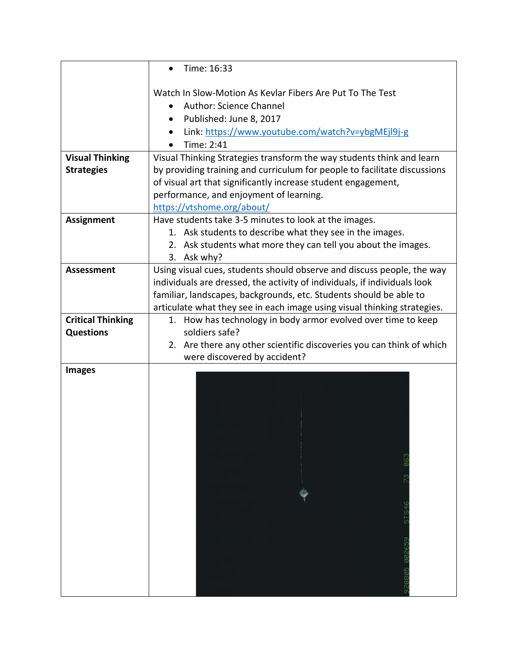|                          | Time: 16:33                                                                           |
|--------------------------|---------------------------------------------------------------------------------------|
|                          | Watch In Slow-Motion As Kevlar Fibers Are Put To The Test                             |
|                          | Author: Science Channel                                                               |
|                          | Published: June 8, 2017                                                               |
|                          | Link: https://www.youtube.com/watch?v=ybgMEjl9j-g                                     |
|                          | Time: 2:41                                                                            |
| <b>Visual Thinking</b>   | Visual Thinking Strategies transform the way students think and learn                 |
| <b>Strategies</b>        | by providing training and curriculum for people to facilitate discussions             |
|                          | of visual art that significantly increase student engagement,                         |
|                          | performance, and enjoyment of learning.                                               |
|                          | https://vtshome.org/about/                                                            |
| <b>Assignment</b>        | Have students take 3-5 minutes to look at the images.                                 |
|                          | 1. Ask students to describe what they see in the images.                              |
|                          | 2. Ask students what more they can tell you about the images.                         |
| <b>Assessment</b>        | 3. Ask why?<br>Using visual cues, students should observe and discuss people, the way |
|                          | individuals are dressed, the activity of individuals, if individuals look             |
|                          | familiar, landscapes, backgrounds, etc. Students should be able to                    |
|                          | articulate what they see in each image using visual thinking strategies.              |
| <b>Critical Thinking</b> | 1. How has technology in body armor evolved over time to keep                         |
| <b>Questions</b>         | soldiers safe?                                                                        |
|                          | 2. Are there any other scientific discoveries you can think of which                  |
|                          | were discovered by accident?                                                          |
| <b>Images</b>            |                                                                                       |
|                          |                                                                                       |
|                          |                                                                                       |
|                          |                                                                                       |
|                          |                                                                                       |
|                          |                                                                                       |
|                          |                                                                                       |
|                          |                                                                                       |
|                          |                                                                                       |
|                          |                                                                                       |
|                          |                                                                                       |
|                          |                                                                                       |
|                          |                                                                                       |
|                          |                                                                                       |
|                          |                                                                                       |
|                          |                                                                                       |
|                          |                                                                                       |